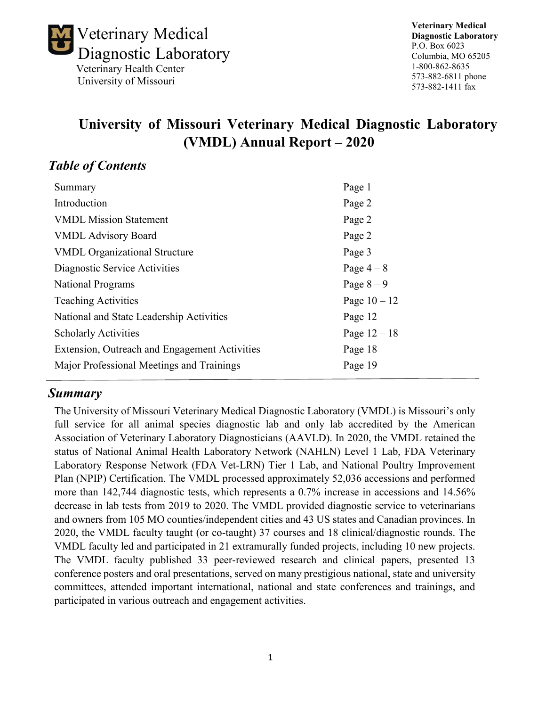

# **University of Missouri Veterinary Medical Diagnostic Laboratory (VMDL) Annual Report – 2020**

### *Table of Contents*

| Summary                                       | Page 1         |
|-----------------------------------------------|----------------|
| Introduction                                  | Page 2         |
| <b>VMDL Mission Statement</b>                 | Page 2         |
| <b>VMDL Advisory Board</b>                    | Page 2         |
| <b>VMDL Organizational Structure</b>          | Page 3         |
| Diagnostic Service Activities                 | Page $4-8$     |
| <b>National Programs</b>                      | Page $8-9$     |
| <b>Teaching Activities</b>                    | Page $10 - 12$ |
| National and State Leadership Activities      | Page 12        |
| <b>Scholarly Activities</b>                   | Page $12 - 18$ |
| Extension, Outreach and Engagement Activities | Page 18        |
| Major Professional Meetings and Trainings     | Page 19        |
|                                               |                |

### *Summary*

The University of Missouri Veterinary Medical Diagnostic Laboratory (VMDL) is Missouri's only full service for all animal species diagnostic lab and only lab accredited by the American Association of Veterinary Laboratory Diagnosticians (AAVLD). In 2020, the VMDL retained the status of National Animal Health Laboratory Network (NAHLN) Level 1 Lab, FDA Veterinary Laboratory Response Network (FDA Vet-LRN) Tier 1 Lab, and National Poultry Improvement Plan (NPIP) Certification. The VMDL processed approximately 52,036 accessions and performed more than 142,744 diagnostic tests, which represents a 0.7% increase in accessions and 14.56% decrease in lab tests from 2019 to 2020. The VMDL provided diagnostic service to veterinarians and owners from 105 MO counties/independent cities and 43 US states and Canadian provinces. In 2020, the VMDL faculty taught (or co-taught) 37 courses and 18 clinical/diagnostic rounds. The VMDL faculty led and participated in 21 extramurally funded projects, including 10 new projects. The VMDL faculty published 33 peer-reviewed research and clinical papers, presented 13 conference posters and oral presentations, served on many prestigious national, state and university committees, attended important international, national and state conferences and trainings, and participated in various outreach and engagement activities.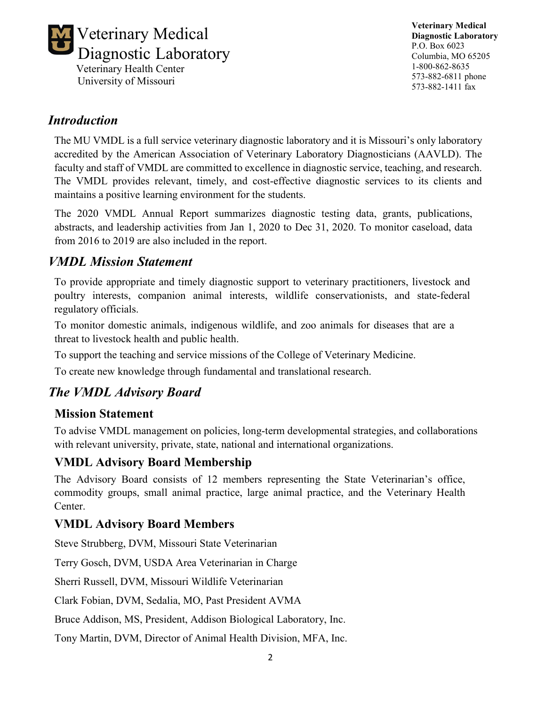

**Veterinary Medical Diagnostic Laboratory** P.O. Box 6023 Columbia, MO 65205 1-800-862-8635 573-882-6811 phone 573-882-1411 fax

### *Introduction*

The MU VMDL is a full service veterinary diagnostic laboratory and it is Missouri's only laboratory accredited by the American Association of Veterinary Laboratory Diagnosticians (AAVLD). The faculty and staff of VMDL are committed to excellence in diagnostic service, teaching, and research. The VMDL provides relevant, timely, and cost-effective diagnostic services to its clients and maintains a positive learning environment for the students.

The 2020 VMDL Annual Report summarizes diagnostic testing data, grants, publications, abstracts, and leadership activities from Jan 1, 2020 to Dec 31, 2020. To monitor caseload, data from 2016 to 2019 are also included in the report.

## *VMDL Mission Statement*

To provide appropriate and timely diagnostic support to veterinary practitioners, livestock and poultry interests, companion animal interests, wildlife conservationists, and state-federal regulatory officials.

To monitor domestic animals, indigenous wildlife, and zoo animals for diseases that are a threat to livestock health and public health.

To support the teaching and service missions of the College of Veterinary Medicine.

To create new knowledge through fundamental and translational research.

# *The VMDL Advisory Board*

### **Mission Statement**

To advise VMDL management on policies, long-term developmental strategies, and collaborations with relevant university, private, state, national and international organizations.

## **VMDL Advisory Board Membership**

The Advisory Board consists of 12 members representing the State Veterinarian's office, commodity groups, small animal practice, large animal practice, and the Veterinary Health Center.

## **VMDL Advisory Board Members**

Steve Strubberg, DVM, Missouri State Veterinarian

Terry Gosch, DVM, USDA Area Veterinarian in Charge

Sherri Russell, DVM, Missouri Wildlife Veterinarian

Clark Fobian, DVM, Sedalia, MO, Past President AVMA

Bruce Addison, MS, President, Addison Biological Laboratory, Inc.

Tony Martin, DVM, Director of Animal Health Division, MFA, Inc.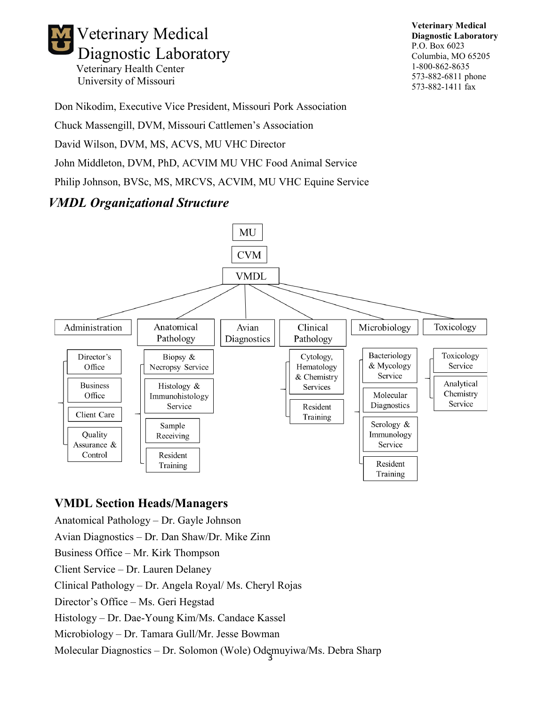

**Veterinary Medical Diagnostic Laboratory** P.O. Box 6023 Columbia, MO 65205 1-800-862-8635 573-882-6811 phone 573-882-1411 fax

Don Nikodim, Executive Vice President, Missouri Pork Association

Chuck Massengill, DVM, Missouri Cattlemen's Association

David Wilson, DVM, MS, ACVS, MU VHC Director

John Middleton, DVM, PhD, ACVIM MU VHC Food Animal Service

Philip Johnson, BVSc, MS, MRCVS, ACVIM, MU VHC Equine Service

# *VMDL Organizational Structure*



### **VMDL Section Heads/Managers**

Anatomical Pathology – Dr. Gayle Johnson

Avian Diagnostics – Dr. Dan Shaw/Dr. Mike Zinn

Business Office – Mr. Kirk Thompson

Client Service – Dr. Lauren Delaney

Clinical Pathology – Dr. Angela Royal/ Ms. Cheryl Rojas

Director's Office – Ms. Geri Hegstad

Histology – Dr. Dae-Young Kim/Ms. Candace Kassel

Microbiology – Dr. Tamara Gull/Mr. Jesse Bowman

Molecular Diagnostics – Dr. Solomon (Wole) Odemuyiwa/Ms. Debra Sharp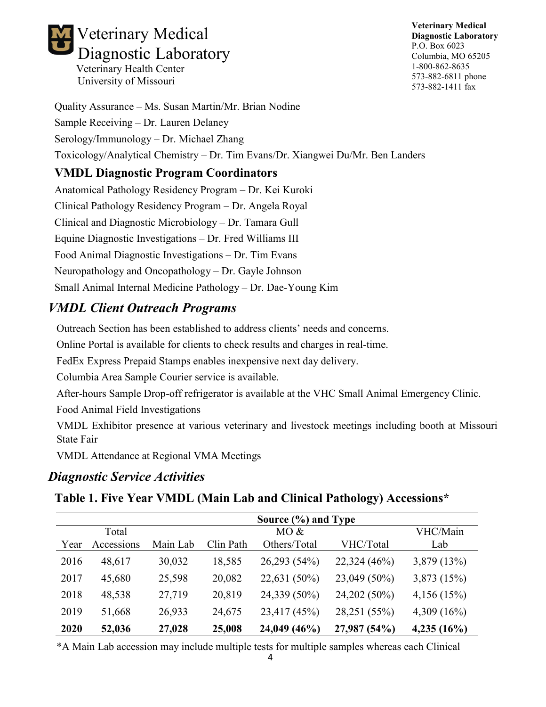

**Veterinary Medical Diagnostic Laboratory** P.O. Box 6023 Columbia, MO 65205 1-800-862-8635 573-882-6811 phone 573-882-1411 fax

Quality Assurance – Ms. Susan Martin/Mr. Brian Nodine Sample Receiving – Dr. Lauren Delaney Serology/Immunology – Dr. Michael Zhang Toxicology/Analytical Chemistry – Dr. Tim Evans/Dr. Xiangwei Du/Mr. Ben Landers

### **VMDL Diagnostic Program Coordinators**

Anatomical Pathology Residency Program – Dr. Kei Kuroki Clinical Pathology Residency Program – Dr. Angela Royal Clinical and Diagnostic Microbiology – Dr. Tamara Gull Equine Diagnostic Investigations – Dr. Fred Williams III Food Animal Diagnostic Investigations – Dr. Tim Evans Neuropathology and Oncopathology – Dr. Gayle Johnson Small Animal Internal Medicine Pathology – Dr. Dae-Young Kim

# *VMDL Client Outreach Programs*

Outreach Section has been established to address clients' needs and concerns.

Online Portal is available for clients to check results and charges in real-time.

FedEx Express Prepaid Stamps enables inexpensive next day delivery.

Columbia Area Sample Courier service is available.

After-hours Sample Drop-off refrigerator is available at the VHC Small Animal Emergency Clinic.

Food Animal Field Investigations

VMDL Exhibitor presence at various veterinary and livestock meetings including booth at Missouri State Fair

VMDL Attendance at Regional VMA Meetings

## *Diagnostic Service Activities*

**Table 1. Five Year VMDL (Main Lab and Clinical Pathology) Accessions\***

|      |            |          |           | Source (%) and Type |              |                |
|------|------------|----------|-----------|---------------------|--------------|----------------|
|      | Total      |          |           | MO &                |              | VHC/Main       |
| Year | Accessions | Main Lab | Clin Path | Others/Total        | VHC/Total    | Lab            |
| 2016 | 48,617     | 30,032   | 18,585    | 26,293 (54%)        | 22,324 (46%) | 3,879 (13%)    |
| 2017 | 45,680     | 25,598   | 20,082    | 22,631 (50%)        | 23,049 (50%) | 3,873 (15%)    |
| 2018 | 48,538     | 27,719   | 20,819    | 24,339 (50%)        | 24,202 (50%) | 4,156(15%)     |
| 2019 | 51,668     | 26,933   | 24,675    | 23,417 (45%)        | 28,251 (55%) | 4,309 $(16\%)$ |
| 2020 | 52,036     | 27,028   | 25,008    | 24,049 (46%)        | 27,987 (54%) | 4,235(16%)     |

\*A Main Lab accession may include multiple tests for multiple samples whereas each Clinical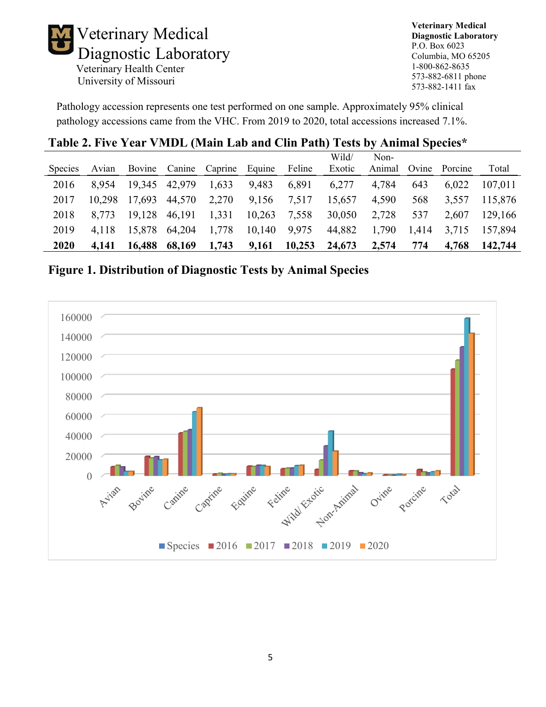

**Veterinary Medical Diagnostic Laboratory** P.O. Box 6023 Columbia, MO 65205 1-800-862-8635 573-882-6811 phone 573-882-1411 fax

Pathology accession represents one test performed on one sample. Approximately 95% clinical pathology accessions came from the VHC. From 2019 to 2020, total accessions increased 7.1%.

# **Table 2. Five Year VMDL (Main Lab and Clin Path) Tests by Animal Species\***

|                |        |        |        |                       |        |        | Wild/  | Non-   |       |         |         |
|----------------|--------|--------|--------|-----------------------|--------|--------|--------|--------|-------|---------|---------|
| <b>Species</b> | Avian  | Bovine |        | Canine Caprine Equine |        | Feline | Exotic | Animal | Ovine | Porcine | Total   |
| 2016           | 8.954  | 19,345 | 42,979 | 1,633                 | 9,483  | 6,891  | 6,277  | 4,784  | 643   | 6.022   | 107,011 |
| 2017           | 10.298 | 17.693 | 44,570 | 2,270                 | 9,156  | 7,517  | 15,657 | 4,590  | 568   | 3.557   | 115,876 |
| 2018           | 8.773  | 19.128 | 46,191 | 1,331                 | 10,263 | 7,558  | 30,050 | 2,728  | 537   | 2.607   | 129,166 |
| 2019           | 4.118  | 15.878 | 64,204 | 1,778                 | 10,140 | 9,975  | 44,882 | 1,790  | 1,414 | 3,715   | 157.894 |
| 2020           | 4.141  | 16,488 | 68,169 | 1,743                 | 9,161  | 10,253 | 24,673 | 2,574  | 774   | 4,768   | 142,744 |

**Figure 1. Distribution of Diagnostic Tests by Animal Species**

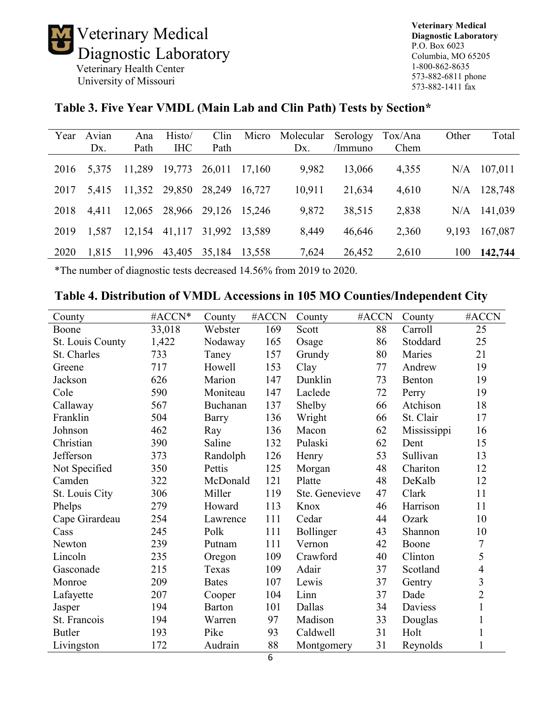Veterinary Medical Diagnostic Laboratory Veterinary Health Center

University of Missouri

**Veterinary Medical Diagnostic Laboratory** P.O. Box 6023 Columbia, MO 65205 1-800-862-8635 573-882-6811 phone 573-882-1411 fax

### **Table 3. Five Year VMDL (Main Lab and Clin Path) Tests by Section\***

| Year | Avian | Ana           | Histo/     | Clin          | Micro  | Molecular | Serology | Tox/Ana | Other | Total   |
|------|-------|---------------|------------|---------------|--------|-----------|----------|---------|-------|---------|
|      | Dx.   | Path          | <b>IHC</b> | Path          |        | Dx.       | /Immuno  | Chem    |       |         |
| 2016 | 5,375 | 11,289        | 19,773     | 26,011        | 17,160 | 9,982     | 13,066   | 4,355   | N/A   | 107,011 |
| 2017 | 5,415 | 11,352 29,850 |            | 28,249        | 16.727 | 10,911    | 21,634   | 4,610   | N/A   | 128,748 |
| 2018 | 4.411 | 12,065        | 28,966     | 29,126 15,246 |        | 9,872     | 38,515   | 2,838   | N/A   | 141,039 |
| 2019 | 1,587 | 12,154        | 41,117     | 31,992 13,589 |        | 8,449     | 46,646   | 2,360   | 9,193 | 167,087 |
| 2020 | 1,815 | 11,996        | 43,405     | 35,184        | 13,558 | 7,624     | 26,452   | 2,610   | 100   | 142,744 |

\*The number of diagnostic tests decreased 14.56% from 2019 to 2020.

#### **Table 4. Distribution of VMDL Accessions in 105 MO Counties/Independent City**

| County           | #ACCN* | County       | #ACCN | County         | #ACCN | County      | #ACCN          |
|------------------|--------|--------------|-------|----------------|-------|-------------|----------------|
| Boone            | 33,018 | Webster      | 169   | Scott          | 88    | Carroll     | 25             |
| St. Louis County | 1,422  | Nodaway      | 165   | Osage          | 86    | Stoddard    | 25             |
| St. Charles      | 733    | Taney        | 157   | Grundy         | 80    | Maries      | 21             |
| Greene           | 717    | Howell       | 153   | Clay           | 77    | Andrew      | 19             |
| Jackson          | 626    | Marion       | 147   | Dunklin        | 73    | Benton      | 19             |
| Cole             | 590    | Moniteau     | 147   | Laclede        | 72    | Perry       | 19             |
| Callaway         | 567    | Buchanan     | 137   | Shelby         | 66    | Atchison    | 18             |
| Franklin         | 504    | Barry        | 136   | Wright         | 66    | St. Clair   | 17             |
| Johnson          | 462    | Ray          | 136   | Macon          | 62    | Mississippi | 16             |
| Christian        | 390    | Saline       | 132   | Pulaski        | 62    | Dent        | 15             |
| Jefferson        | 373    | Randolph     | 126   | Henry          | 53    | Sullivan    | 13             |
| Not Specified    | 350    | Pettis       | 125   | Morgan         | 48    | Chariton    | 12             |
| Camden           | 322    | McDonald     | 121   | Platte         | 48    | DeKalb      | 12             |
| St. Louis City   | 306    | Miller       | 119   | Ste. Genevieve | 47    | Clark       | 11             |
| Phelps           | 279    | Howard       | 113   | Knox           | 46    | Harrison    | 11             |
| Cape Girardeau   | 254    | Lawrence     | 111   | Cedar          | 44    | Ozark       | 10             |
| Cass             | 245    | Polk         | 111   | Bollinger      | 43    | Shannon     | 10             |
| Newton           | 239    | Putnam       | 111   | Vernon         | 42    | Boone       | $\tau$         |
| Lincoln          | 235    | Oregon       | 109   | Crawford       | 40    | Clinton     | 5              |
| Gasconade        | 215    | Texas        | 109   | Adair          | 37    | Scotland    | $\overline{4}$ |
| Monroe           | 209    | <b>Bates</b> | 107   | Lewis          | 37    | Gentry      | $\overline{3}$ |
| Lafayette        | 207    | Cooper       | 104   | Linn           | 37    | Dade        | $\overline{2}$ |
| Jasper           | 194    | Barton       | 101   | Dallas         | 34    | Daviess     | $\mathbf{1}$   |
| St. Francois     | 194    | Warren       | 97    | Madison        | 33    | Douglas     | $\mathbf{1}$   |
| <b>Butler</b>    | 193    | Pike         | 93    | Caldwell       | 31    | Holt        | 1              |
| Livingston       | 172    | Audrain      | 88    | Montgomery     | 31    | Reynolds    | 1              |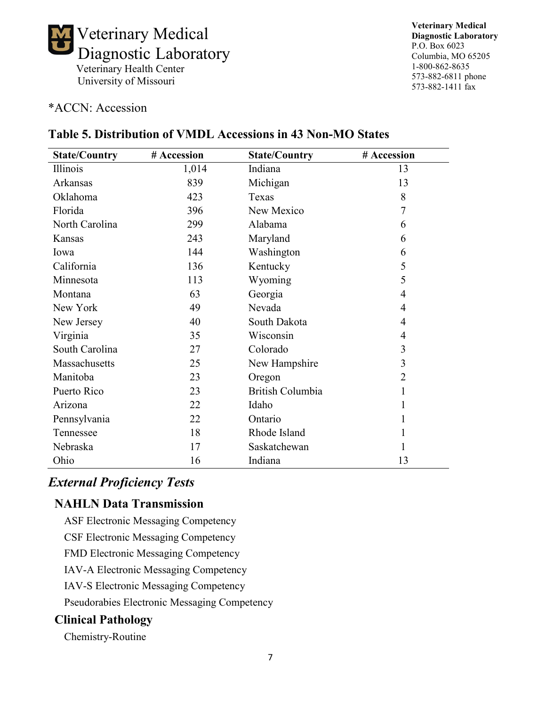

#### \*ACCN: Accession

# **Table 5. Distribution of VMDL Accessions in 43 Non-MO States**

| <b>State/Country</b> | # Accession | <b>State/Country</b> | # Accession    |
|----------------------|-------------|----------------------|----------------|
| Illinois             | 1,014       | Indiana              | 13             |
| Arkansas             | 839         | Michigan             | 13             |
| Oklahoma             | 423         | Texas                | 8              |
| Florida              | 396         | New Mexico           | 7              |
| North Carolina       | 299         | Alabama              | 6              |
| Kansas               | 243         | Maryland             | 6              |
| Iowa                 | 144         | Washington           | 6              |
| California           | 136         | Kentucky             | 5              |
| Minnesota            | 113         | Wyoming              | 5              |
| Montana              | 63          | Georgia              | $\overline{4}$ |
| New York             | 49          | Nevada               | 4              |
| New Jersey           | 40          | South Dakota         | 4              |
| Virginia             | 35          | Wisconsin            | $\overline{4}$ |
| South Carolina       | 27          | Colorado             | 3              |
| Massachusetts        | 25          | New Hampshire        | 3              |
| Manitoba             | 23          | Oregon               | $\overline{2}$ |
| Puerto Rico          | 23          | British Columbia     | 1              |
| Arizona              | 22          | Idaho                | 1              |
| Pennsylvania         | 22          | Ontario              | 1              |
| Tennessee            | 18          | Rhode Island         | 1              |
| Nebraska             | 17          | Saskatchewan         | 1              |
| Ohio                 | 16          | Indiana              | 13             |

### *External Proficiency Tests*

### **NAHLN Data Transmission**

ASF Electronic Messaging Competency

CSF Electronic Messaging Competency

FMD Electronic Messaging Competency

IAV-A Electronic Messaging Competency

IAV-S Electronic Messaging Competency

Pseudorabies Electronic Messaging Competency

### **Clinical Pathology**

Chemistry-Routine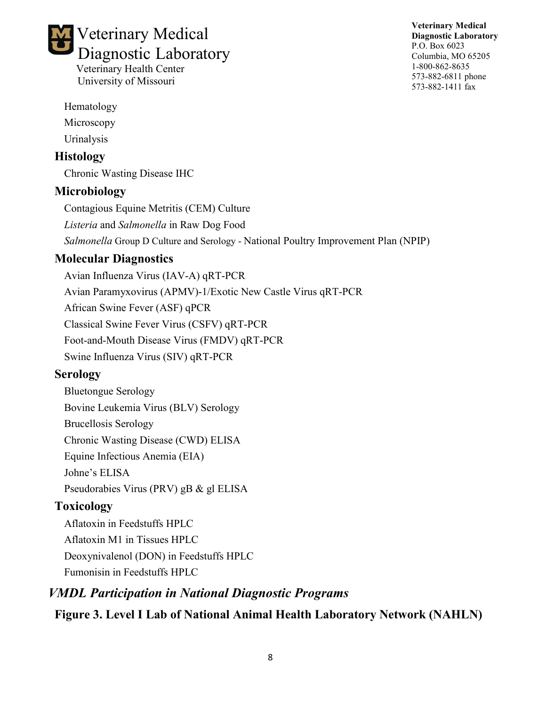# Veterinary Medical Diagnostic Laboratory Veterinary Health Center

University of Missouri

**Veterinary Medical Diagnostic Laboratory** P.O. Box 6023 Columbia, MO 65205 1-800-862-8635 573-882-6811 phone 573-882-1411 fax

Hematology

Microscopy

Urinalysis

# **Histology**

Chronic Wasting Disease IHC

# **Microbiology**

Contagious Equine Metritis (CEM) Culture

*Listeria* and *Salmonella* in Raw Dog Food

*Salmonella* Group D Culture and Serology - National Poultry Improvement Plan (NPIP)

# **Molecular Diagnostics**

Avian Influenza Virus (IAV-A) qRT-PCR Avian Paramyxovirus (APMV)-1/Exotic New Castle Virus qRT-PCR African Swine Fever (ASF) qPCR Classical Swine Fever Virus (CSFV) qRT-PCR Foot-and-Mouth Disease Virus (FMDV) qRT-PCR Swine Influenza Virus (SIV) qRT-PCR

# **Serology**

Bluetongue Serology Bovine Leukemia Virus (BLV) Serology Brucellosis Serology Chronic Wasting Disease (CWD) ELISA Equine Infectious Anemia (EIA) Johne's ELISA Pseudorabies Virus (PRV) gB & gl ELISA

# **Toxicology**

Aflatoxin in Feedstuffs HPLC Aflatoxin M1 in Tissues HPLC Deoxynivalenol (DON) in Feedstuffs HPLC Fumonisin in Feedstuffs HPLC

# *VMDL Participation in National Diagnostic Programs*

**Figure 3. Level I Lab of National Animal Health Laboratory Network (NAHLN)**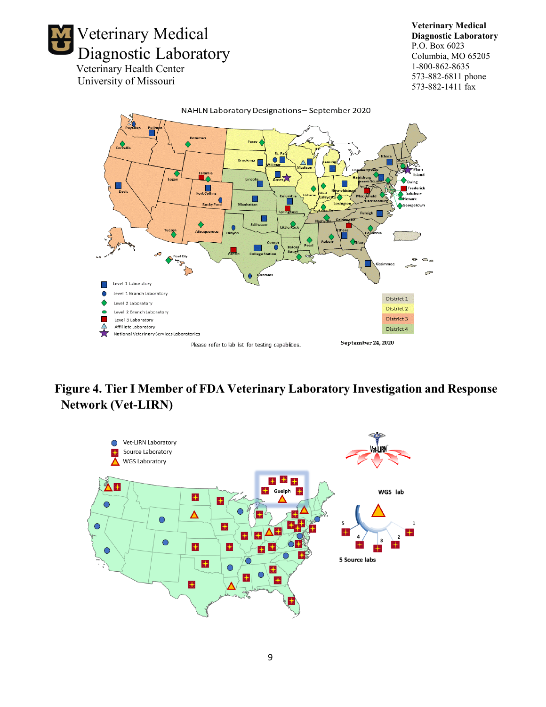

**Veterinary Medical Diagnostic Laboratory** P.O. Box 6023 Columbia, MO 65205 1-800-862-8635 573-882-6811 phone 573-882-1411 fax



# **Figure 4. Tier I Member of FDA Veterinary Laboratory Investigation and Response Network (Vet-LIRN)**

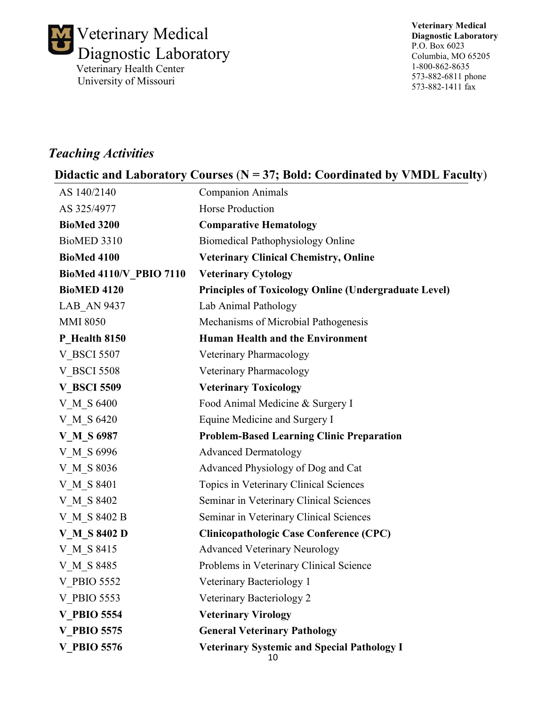

**Veterinary Medical Diagnostic Laboratory** P.O. Box 6023 Columbia, MO 65205 1-800-862-8635 573-882-6811 phone 573-882-1411 fax

# *Teaching Activities*

# **Didactic and Laboratory Courses** (**N = 37; Bold: Coordinated by VMDL Faculty**)

| AS 140/2140                | <b>Companion Animals</b>                                     |
|----------------------------|--------------------------------------------------------------|
| AS 325/4977                | <b>Horse Production</b>                                      |
| <b>BioMed 3200</b>         | <b>Comparative Hematology</b>                                |
| BioMED 3310                | <b>Biomedical Pathophysiology Online</b>                     |
| <b>BioMed 4100</b>         | <b>Veterinary Clinical Chemistry, Online</b>                 |
| BioMed 4110/V PBIO 7110    | <b>Veterinary Cytology</b>                                   |
| <b>BioMED 4120</b>         | <b>Principles of Toxicology Online (Undergraduate Level)</b> |
| <b>LAB AN 9437</b>         | Lab Animal Pathology                                         |
| <b>MMI 8050</b>            | Mechanisms of Microbial Pathogenesis                         |
| P Health 8150              | <b>Human Health and the Environment</b>                      |
| <b>V BSCI 5507</b>         | Veterinary Pharmacology                                      |
| <b>V BSCI 5508</b>         | Veterinary Pharmacology                                      |
| <b>V BSCI 5509</b>         | <b>Veterinary Toxicology</b>                                 |
| V M S 6400                 | Food Animal Medicine & Surgery I                             |
| V M S 6420                 | Equine Medicine and Surgery I                                |
| <b>V</b> M S 6987          | <b>Problem-Based Learning Clinic Preparation</b>             |
| V M S 6996                 | <b>Advanced Dermatology</b>                                  |
| V M S 8036                 | Advanced Physiology of Dog and Cat                           |
| V M S 8401                 | Topics in Veterinary Clinical Sciences                       |
| V M S 8402                 | Seminar in Veterinary Clinical Sciences                      |
| <b>V</b> M S 8402 B        | Seminar in Veterinary Clinical Sciences                      |
| <b>V M S</b> 8402 <b>D</b> | <b>Clinicopathologic Case Conference (CPC)</b>               |
| V M S 8415                 | <b>Advanced Veterinary Neurology</b>                         |
| V M S 8485                 | Problems in Veterinary Clinical Science                      |
| <b>V_PBIO 5552</b>         | Veterinary Bacteriology 1                                    |
| V PBIO 5553                | Veterinary Bacteriology 2                                    |
| <b>V PBIO 5554</b>         | <b>Veterinary Virology</b>                                   |
| <b>V PBIO 5575</b>         | <b>General Veterinary Pathology</b>                          |
| <b>V PBIO 5576</b>         | <b>Veterinary Systemic and Special Pathology I</b><br>10     |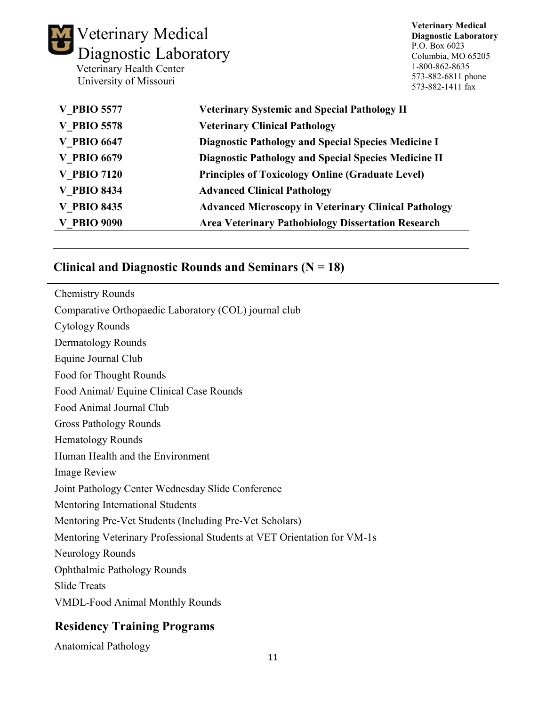| Veterinary Medical<br>Diagnostic Laboratory<br>Veterinary Health Center<br>University of Missouri | <b>Veterinary Medical</b><br><b>Diagnostic Laboratory</b><br>P.O. Box 6023<br>Columbia, MO 65205<br>1-800-862-8635<br>573-882-6811 phone<br>573-882-1411 fax |  |  |  |  |
|---------------------------------------------------------------------------------------------------|--------------------------------------------------------------------------------------------------------------------------------------------------------------|--|--|--|--|
| <b>V PBIO 5577</b>                                                                                | <b>Veterinary Systemic and Special Pathology II</b>                                                                                                          |  |  |  |  |
| <b>V PBIO 5578</b>                                                                                | <b>Veterinary Clinical Pathology</b>                                                                                                                         |  |  |  |  |
| <b>V PBIO 6647</b>                                                                                | <b>Diagnostic Pathology and Special Species Medicine I</b>                                                                                                   |  |  |  |  |
| <b>V PBIO 6679</b>                                                                                | <b>Diagnostic Pathology and Special Species Medicine II</b>                                                                                                  |  |  |  |  |
| <b>V PBIO 7120</b>                                                                                | <b>Principles of Toxicology Online (Graduate Level)</b>                                                                                                      |  |  |  |  |
| <b>V PBIO 8434</b>                                                                                | <b>Advanced Clinical Pathology</b>                                                                                                                           |  |  |  |  |
| <b>V PBIO 8435</b>                                                                                | <b>Advanced Microscopy in Veterinary Clinical Pathology</b>                                                                                                  |  |  |  |  |
| <b>V PBIO 9090</b>                                                                                | <b>Area Veterinary Pathobiology Dissertation Research</b>                                                                                                    |  |  |  |  |

# **Clinical and Diagnostic Rounds and Seminars (N = 18)**

| <b>Chemistry Rounds</b>                                                 |
|-------------------------------------------------------------------------|
| Comparative Orthopaedic Laboratory (COL) journal club                   |
| <b>Cytology Rounds</b>                                                  |
| Dermatology Rounds                                                      |
| Equine Journal Club                                                     |
| Food for Thought Rounds                                                 |
| Food Animal/ Equine Clinical Case Rounds                                |
| Food Animal Journal Club                                                |
| <b>Gross Pathology Rounds</b>                                           |
| <b>Hematology Rounds</b>                                                |
| Human Health and the Environment                                        |
| <b>Image Review</b>                                                     |
| Joint Pathology Center Wednesday Slide Conference                       |
| Mentoring International Students                                        |
| Mentoring Pre-Vet Students (Including Pre-Vet Scholars)                 |
| Mentoring Veterinary Professional Students at VET Orientation for VM-1s |
| Neurology Rounds                                                        |
| <b>Ophthalmic Pathology Rounds</b>                                      |
| <b>Slide Treats</b>                                                     |
| <b>VMDL-Food Animal Monthly Rounds</b>                                  |

# **Residency Training Programs**

Anatomical Pathology

 $\overline{a}$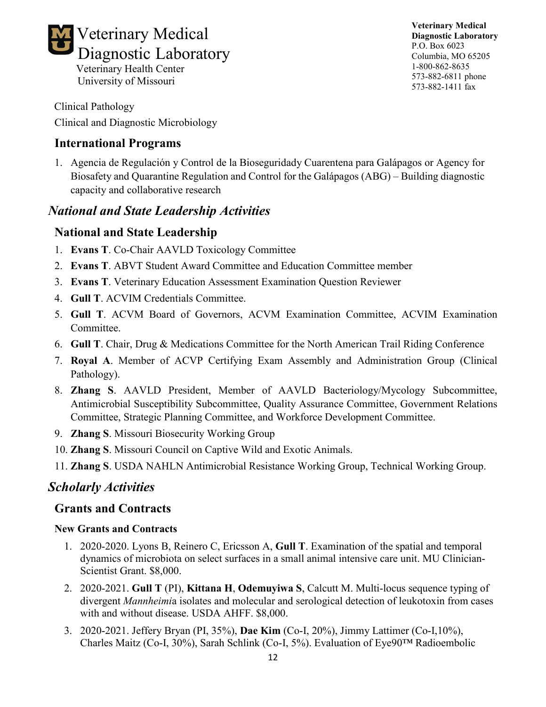

Clinical Pathology

Clinical and Diagnostic Microbiology

University of Missouri

### **International Programs**

1. Agencia de Regulación y Control de la Bioseguridady Cuarentena para Galápagos or Agency for Biosafety and Quarantine Regulation and Control for the Galápagos (ABG) – Building diagnostic capacity and collaborative research

# *National and State Leadership Activities*

### **National and State Leadership**

- 1. **Evans T**. Co-Chair AAVLD Toxicology Committee
- 2. **Evans T**. ABVT Student Award Committee and Education Committee member
- 3. **Evans T**. Veterinary Education Assessment Examination Question Reviewer
- 4. **Gull T**. ACVIM Credentials Committee.
- 5. **Gull T**. ACVM Board of Governors, ACVM Examination Committee, ACVIM Examination Committee.
- 6. **Gull T**. Chair, Drug & Medications Committee for the North American Trail Riding Conference
- 7. **Royal A**. Member of ACVP Certifying Exam Assembly and Administration Group (Clinical Pathology).
- 8. **Zhang S**. AAVLD President, Member of AAVLD Bacteriology/Mycology Subcommittee, Antimicrobial Susceptibility Subcommittee, Quality Assurance Committee, Government Relations Committee, Strategic Planning Committee, and Workforce Development Committee.
- 9. **Zhang S**. Missouri Biosecurity Working Group
- 10. **Zhang S**. Missouri Council on Captive Wild and Exotic Animals.
- 11. **Zhang S**. USDA NAHLN Antimicrobial Resistance Working Group, Technical Working Group.

## *Scholarly Activities*

#### **Grants and Contracts**

#### **New Grants and Contracts**

- 1. 2020-2020. Lyons B, Reinero C, Ericsson A, **Gull T**. Examination of the spatial and temporal dynamics of microbiota on select surfaces in a small animal intensive care unit. MU Clinician-Scientist Grant. \$8,000.
- 2. 2020-2021. **Gull T** (PI), **Kittana H**, **Odemuyiwa S**, Calcutt M. Multi-locus sequence typing of divergent *Mannheimi*a isolates and molecular and serological detection of leukotoxin from cases with and without disease. USDA AHFF. \$8,000.
- 3. 2020-2021. Jeffery Bryan (PI, 35%), **Dae Kim** (Co-I, 20%), Jimmy Lattimer (Co-I,10%), Charles Maitz (Co-I, 30%), Sarah Schlink (Co-I, 5%). Evaluation of Eye90™ Radioembolic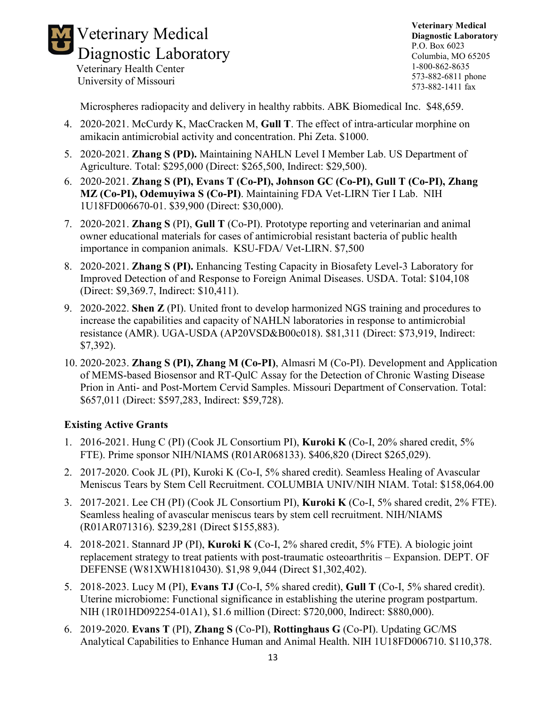

**Veterinary Medical Diagnostic Laboratory** P.O. Box 6023 Columbia, MO 65205 1-800-862-8635 573-882-6811 phone 573-882-1411 fax

Microspheres radiopacity and delivery in healthy rabbits. ABK Biomedical Inc. \$48,659.

- 4. 2020-2021. McCurdy K, MacCracken M, **Gull T**. The effect of intra-articular morphine on amikacin antimicrobial activity and concentration. Phi Zeta. \$1000.
- 5. 2020-2021. **Zhang S (PD).** Maintaining NAHLN Level I Member Lab. US Department of Agriculture. Total: \$295,000 (Direct: \$265,500, Indirect: \$29,500).
- 6. 2020-2021. **Zhang S (PI), Evans T (Co-PI), Johnson GC (Co-PI), Gull T (Co-PI), Zhang MZ (Co-PI), Odemuyiwa S (Co-PI)**. Maintaining FDA Vet-LIRN Tier I Lab. NIH 1U18FD006670-01. \$39,900 (Direct: \$30,000).
- 7. 2020-2021. **Zhang S** (PI), **Gull T** (Co-PI). Prototype reporting and veterinarian and animal owner educational materials for cases of antimicrobial resistant bacteria of public health importance in companion animals. KSU-FDA/ Vet-LIRN. \$7,500
- 8. 2020-2021. **Zhang S (PI).** Enhancing Testing Capacity in Biosafety Level-3 Laboratory for Improved Detection of and Response to Foreign Animal Diseases. USDA. Total: \$104,108 (Direct: \$9,369.7, Indirect: \$10,411).
- 9. 2020-2022. **Shen Z** (PI). United front to develop harmonized NGS training and procedures to increase the capabilities and capacity of NAHLN laboratories in response to antimicrobial resistance (AMR). UGA-USDA (AP20VSD&B00c018). \$81,311 (Direct: \$73,919, Indirect: \$7,392).
- 10. 2020-2023. **Zhang S (PI), Zhang M (Co-PI)**, Almasri M (Co-PI). Development and Application of MEMS-based Biosensor and RT-QulC Assay for the Detection of Chronic Wasting Disease Prion in Anti- and Post-Mortem Cervid Samples. Missouri Department of Conservation. Total: \$657,011 (Direct: \$597,283, Indirect: \$59,728).

#### **Existing Active Grants**

- 1. 2016-2021. Hung C (PI) (Cook JL Consortium PI), **Kuroki K** (Co-I, 20% shared credit, 5% FTE). Prime sponsor NIH/NIAMS (R01AR068133). \$406,820 (Direct \$265,029).
- 2. 2017-2020. Cook JL (PI), Kuroki K (Co-I, 5% shared credit). Seamless Healing of Avascular Meniscus Tears by Stem Cell Recruitment. COLUMBIA UNIV/NIH NIAM. Total: \$158,064.00
- 3. 2017-2021. Lee CH (PI) (Cook JL Consortium PI), **Kuroki K** (Co-I, 5% shared credit, 2% FTE). Seamless healing of avascular meniscus tears by stem cell recruitment. NIH/NIAMS (R01AR071316). \$239,281 (Direct \$155,883).
- 4. 2018-2021. Stannard JP (PI), **Kuroki K** (Co-I, 2% shared credit, 5% FTE). A biologic joint replacement strategy to treat patients with post-traumatic osteoarthritis – Expansion. DEPT. OF DEFENSE (W81XWH1810430). \$1,98 9,044 (Direct \$1,302,402).
- 5. 2018-2023. Lucy M (PI), **Evans TJ** (Co-I, 5% shared credit), **Gull T** (Co-I, 5% shared credit). Uterine microbiome: Functional significance in establishing the uterine program postpartum. NIH (1R01HD092254-01A1), \$1.6 million (Direct: \$720,000, Indirect: \$880,000).
- 6. 2019-2020. **Evans T** (PI), **Zhang S** (Co-PI), **Rottinghaus G** (Co-PI). Updating GC/MS Analytical Capabilities to Enhance Human and Animal Health. NIH 1U18FD006710. \$110,378.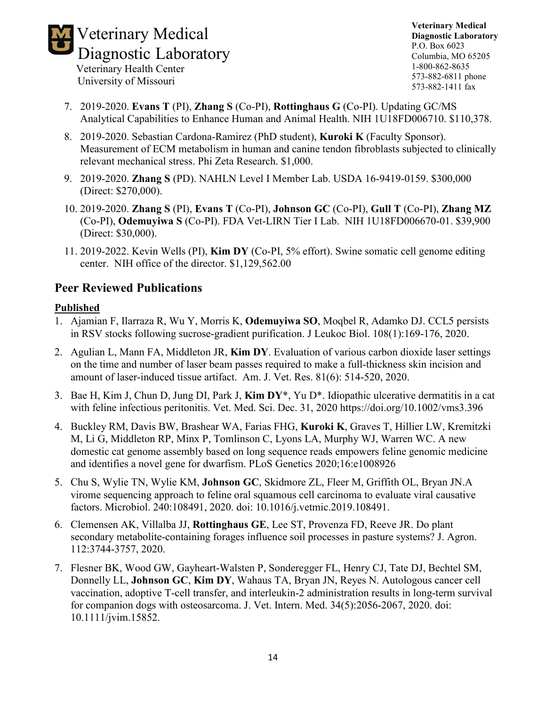

**Veterinary Medical Diagnostic Laboratory** P.O. Box 6023 Columbia, MO 65205 1-800-862-8635 573-882-6811 phone 573-882-1411 fax

- 7. 2019-2020. **Evans T** (PI), **Zhang S** (Co-PI), **Rottinghaus G** (Co-PI). Updating GC/MS Analytical Capabilities to Enhance Human and Animal Health. NIH 1U18FD006710. \$110,378.
- 8. 2019-2020. Sebastian Cardona-Ramirez (PhD student), **Kuroki K** (Faculty Sponsor). Measurement of ECM metabolism in human and canine tendon fibroblasts subjected to clinically relevant mechanical stress. Phi Zeta Research. \$1,000.
- 9. 2019-2020. **Zhang S** (PD). NAHLN Level I Member Lab. USDA 16-9419-0159. \$300,000 (Direct: \$270,000).
- 10. 2019-2020. **Zhang S** (PI), **Evans T** (Co-PI), **Johnson GC** (Co-PI), **Gull T** (Co-PI), **Zhang MZ** (Co-PI), **Odemuyiwa S** (Co-PI). FDA Vet-LIRN Tier I Lab. NIH 1U18FD006670-01. \$39,900 (Direct: \$30,000).
- 11. 2019-2022. Kevin Wells (PI), **Kim DY** (Co-PI, 5% effort). Swine somatic cell genome editing center. NIH office of the director. \$1,129,562.00

### **Peer Reviewed Publications**

#### **Published**

- 1. Ajamian F, Ilarraza R, Wu Y, Morris K, **Odemuyiwa SO**, Moqbel R, Adamko DJ. CCL5 persists in RSV stocks following sucrose-gradient purification. J Leukoc Biol. 108(1):169-176, 2020.
- 2. Agulian L, Mann FA, Middleton JR, **Kim DY**. Evaluation of various carbon dioxide laser settings on the time and number of laser beam passes required to make a full-thickness skin incision and amount of laser-induced tissue artifact. Am. J. Vet. Res. 81(6): 514-520, 2020.
- 3. Bae H, Kim J, Chun D, Jung DI, Park J, **Kim DY**\*, Yu D\*. Idiopathic ulcerative dermatitis in a cat with feline infectious peritonitis. Vet. Med. Sci. Dec. 31, 2020 https://doi.org/10.1002/vms3.396
- 4. Buckley RM, Davis BW, Brashear WA, Farias FHG, **Kuroki K**, Graves T, Hillier LW, Kremitzki M, Li G, Middleton RP, Minx P, Tomlinson C, Lyons LA, Murphy WJ, Warren WC. A new domestic cat genome assembly based on long sequence reads empowers feline genomic medicine and identifies a novel gene for dwarfism. PLoS Genetics 2020;16:e1008926
- 5. Chu S, Wylie TN, Wylie KM, **Johnson GC**, Skidmore ZL, Fleer M, Griffith OL, Bryan JN.A virome sequencing approach to feline oral squamous cell carcinoma to evaluate viral causative factors. Microbiol. 240:108491, 2020. doi: 10.1016/j.vetmic.2019.108491.
- 6. Clemensen AK, Villalba JJ, **Rottinghaus GE**, Lee ST, Provenza FD, Reeve JR. Do plant secondary metabolite-containing forages influence soil processes in pasture systems? J. Agron. 112:3744-3757, 2020.
- 7. Flesner BK, Wood GW, Gayheart-Walsten P, Sonderegger FL, Henry CJ, Tate DJ, Bechtel SM, Donnelly LL, **Johnson GC**, **Kim DY**, Wahaus TA, Bryan JN, Reyes N. Autologous cancer cell vaccination, adoptive T-cell transfer, and interleukin-2 administration results in long-term survival for companion dogs with osteosarcoma. J. Vet. Intern. Med. 34(5):2056-2067, 2020. doi: 10.1111/jvim.15852.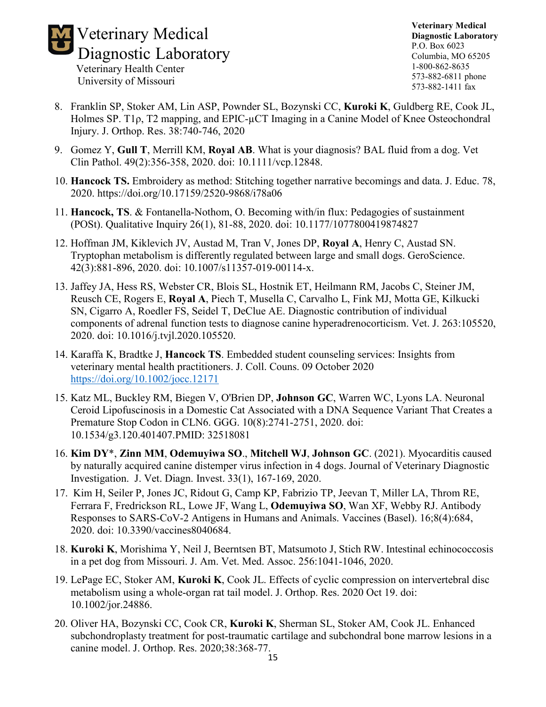

**Veterinary Medical Diagnostic Laboratory** P.O. Box 6023 Columbia, MO 65205 1-800-862-8635 573-882-6811 phone 573-882-1411 fax

- 8. Franklin SP, Stoker AM, Lin ASP, Pownder SL, Bozynski CC, **Kuroki K**, Guldberg RE, Cook JL, Holmes SP. T1ρ, T2 mapping, and EPIC-µCT Imaging in a Canine Model of Knee Osteochondral Injury. J. Orthop. Res. 38:740-746, 2020
- 9. Gomez Y, **Gull T**, Merrill KM, **Royal AB**. What is your diagnosis? BAL fluid from a dog. Vet Clin Pathol. 49(2):356-358, 2020. doi: 10.1111/vcp.12848.
- 10. **Hancock TS.** Embroidery as method: Stitching together narrative becomings and data. J. Educ. 78, 2020. https://doi.org/10.17159/2520-9868/i78a06
- 11. **Hancock, TS**. & Fontanella-Nothom, O. Becoming with/in flux: Pedagogies of sustainment (POSt). Qualitative Inquiry 26(1), 81-88, 2020. doi: 10.1177/1077800419874827
- 12. Hoffman JM, Kiklevich JV, Austad M, Tran V, Jones DP, **Royal A**, Henry C, Austad SN. Tryptophan metabolism is differently regulated between large and small dogs. GeroScience. 42(3):881-896, 2020. doi: 10.1007/s11357-019-00114-x.
- 13. Jaffey JA, Hess RS, Webster CR, Blois SL, Hostnik ET, Heilmann RM, Jacobs C, Steiner JM, Reusch CE, Rogers E, **Royal A**, Piech T, Musella C, Carvalho L, Fink MJ, Motta GE, Kilkucki SN, Cigarro A, Roedler FS, Seidel T, DeClue AE. Diagnostic contribution of individual components of adrenal function tests to diagnose canine hyperadrenocorticism. Vet. J. 263:105520, 2020. doi: 10.1016/j.tvjl.2020.105520.
- 14. Karaffa K, Bradtke J, **Hancock TS**. Embedded student counseling services: Insights from veterinary mental health practitioners. J. Coll. Couns. 09 October 2020 <https://doi.org/10.1002/jocc.12171>
- 15. Katz ML, Buckley RM, Biegen V, O'Brien DP, **Johnson GC**, Warren WC, Lyons LA. Neuronal Ceroid Lipofuscinosis in a Domestic Cat Associated with a DNA Sequence Variant That Creates a Premature Stop Codon in CLN6. GGG. 10(8):2741-2751, 2020. doi: 10.1534/g3.120.401407.PMID: 32518081
- 16. **Kim DY**\*, **Zinn MM**, **Odemuyiwa SO**., **Mitchell WJ**, **Johnson GC**. (2021). Myocarditis caused by naturally acquired canine distemper virus infection in 4 dogs. Journal of Veterinary Diagnostic Investigation. J. Vet. Diagn. Invest. 33(1), 167-169, 2020.
- 17. Kim H, Seiler P, Jones JC, Ridout G, Camp KP, Fabrizio TP, Jeevan T, Miller LA, Throm RE, Ferrara F, Fredrickson RL, Lowe JF, Wang L, **Odemuyiwa SO**, Wan XF, Webby RJ. Antibody Responses to SARS-CoV-2 Antigens in Humans and Animals. Vaccines (Basel). 16;8(4):684, 2020. doi: 10.3390/vaccines8040684.
- 18. **Kuroki K**, Morishima Y, Neil J, Beerntsen BT, Matsumoto J, Stich RW. Intestinal echinococcosis in a pet dog from Missouri. J. Am. Vet. Med. Assoc. 256:1041-1046, 2020.
- 19. LePage EC, Stoker AM, **Kuroki K**, Cook JL. Effects of cyclic compression on intervertebral disc metabolism using a whole-organ rat tail model. J. Orthop. Res. 2020 Oct 19. doi: 10.1002/jor.24886.
- 20. Oliver HA, Bozynski CC, Cook CR, **Kuroki K**, Sherman SL, Stoker AM, Cook JL. Enhanced subchondroplasty treatment for post-traumatic cartilage and subchondral bone marrow lesions in a canine model. J. Orthop. Res. 2020;38:368-77.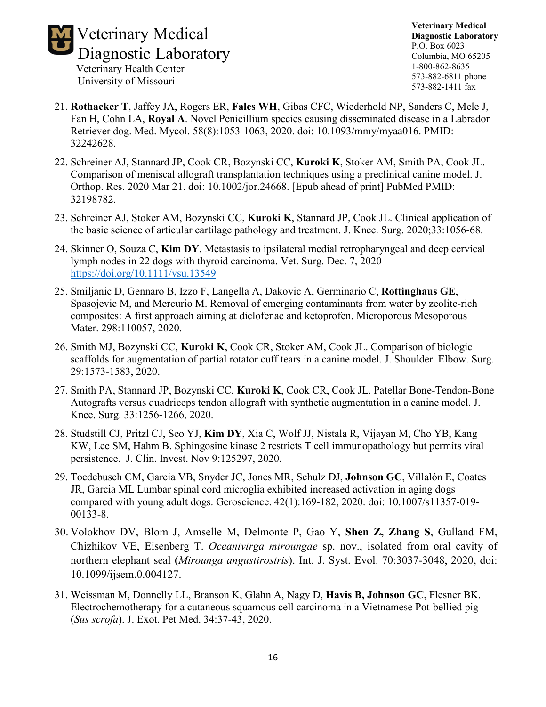

- 21. **Rothacker T**, Jaffey JA, Rogers ER, **Fales WH**, Gibas CFC, Wiederhold NP, Sanders C, Mele J, Fan H, Cohn LA, **Royal A**. Novel Penicillium species causing disseminated disease in a Labrador Retriever dog. Med. Mycol. 58(8):1053-1063, 2020. doi: 10.1093/mmy/myaa016. PMID: 32242628.
- 22. Schreiner AJ, Stannard JP, Cook CR, Bozynski CC, **Kuroki K**, Stoker AM, Smith PA, Cook JL. Comparison of meniscal allograft transplantation techniques using a preclinical canine model. J. Orthop. Res. 2020 Mar 21. doi: 10.1002/jor.24668. [Epub ahead of print] PubMed PMID: 32198782.
- 23. Schreiner AJ, Stoker AM, Bozynski CC, **Kuroki K**, Stannard JP, Cook JL. Clinical application of the basic science of articular cartilage pathology and treatment. J. Knee. Surg. 2020;33:1056-68.
- 24. Skinner O, Souza C, **Kim DY**. Metastasis to ipsilateral medial retropharyngeal and deep cervical lymph nodes in 22 dogs with thyroid carcinoma. Vet. Surg. Dec. 7, 2020 <https://doi.org/10.1111/vsu.13549>
- 25. Smiljanic D, Gennaro B, Izzo F, Langella A, Dakovic A, Germinario C, **Rottinghaus GE**, Spasojevic M, and Mercurio M. Removal of emerging contaminants from water by zeolite-rich composites: A first approach aiming at diclofenac and ketoprofen. Microporous Mesoporous Mater. 298:110057, 2020.
- 26. Smith MJ, Bozynski CC, **Kuroki K**, Cook CR, Stoker AM, Cook JL. Comparison of biologic scaffolds for augmentation of partial rotator cuff tears in a canine model. J. Shoulder. Elbow. Surg. 29:1573-1583, 2020.
- 27. Smith PA, Stannard JP, Bozynski CC, **Kuroki K**, Cook CR, Cook JL. Patellar Bone-Tendon-Bone Autografts versus quadriceps tendon allograft with synthetic augmentation in a canine model. J. Knee. Surg. 33:1256-1266, 2020.
- 28. Studstill CJ, Pritzl CJ, Seo YJ, **Kim DY**, Xia C, Wolf JJ, Nistala R, Vijayan M, Cho YB, Kang KW, Lee SM, Hahm B. Sphingosine kinase 2 restricts T cell immunopathology but permits viral persistence. J. Clin. Invest. Nov 9:125297, 2020.
- 29. Toedebusch CM, Garcia VB, Snyder JC, Jones MR, Schulz DJ, **Johnson GC**, Villalón E, Coates JR, Garcia ML Lumbar spinal cord microglia exhibited increased activation in aging dogs compared with young adult dogs. Geroscience. 42(1):169-182, 2020. doi: 10.1007/s11357-019- 00133-8.
- 30. Volokhov DV, Blom J, Amselle M, Delmonte P, Gao Y, **Shen Z, Zhang S**, Gulland FM, Chizhikov VE, Eisenberg T. *Oceanivirga miroungae* sp. nov., isolated from oral cavity of northern elephant seal (*Mirounga angustirostris*). Int. J. Syst. Evol. 70:3037-3048, 2020, doi: 10.1099/ijsem.0.004127.
- 31. Weissman M, Donnelly LL, Branson K, Glahn A, Nagy D, **Havis B, Johnson GC**, Flesner BK. Electrochemotherapy for a cutaneous squamous cell carcinoma in a Vietnamese Pot-bellied pig (*Sus scrofa*). J. Exot. Pet Med. 34:37-43, 2020.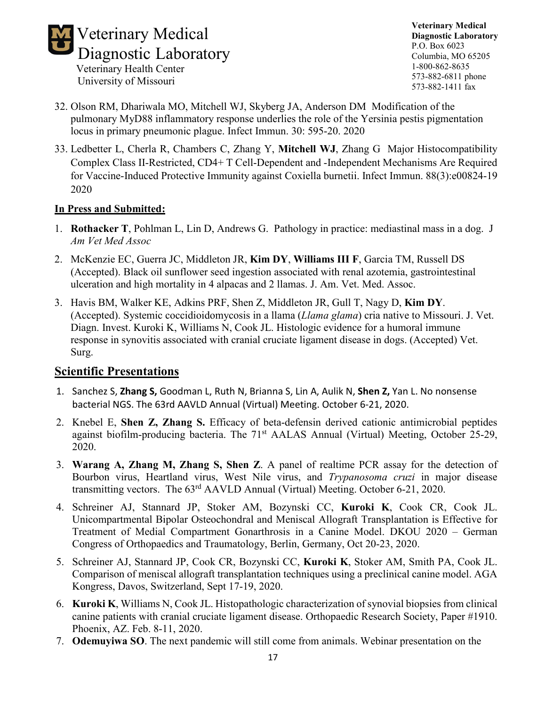

- University of Missouri
- 32. Olson RM, Dhariwala MO, Mitchell WJ, Skyberg JA, Anderson DM Modification of the pulmonary MyD88 inflammatory response underlies the role of the Yersinia pestis pigmentation locus in primary pneumonic plague. Infect Immun. 30: 595-20. 2020
- 33. Ledbetter L, Cherla R, Chambers C, Zhang Y, **Mitchell WJ**, Zhang G Major Histocompatibility Complex Class II-Restricted, CD4+ T Cell-Dependent and -Independent Mechanisms Are Required for Vaccine-Induced Protective Immunity against Coxiella burnetii. Infect Immun. 88(3):e00824-19 2020

#### **In Press and Submitted:**

- 1. **Rothacker T**, Pohlman L, Lin D, Andrews G. Pathology in practice: mediastinal mass in a dog. J *Am Vet Med Assoc*
- 2. McKenzie EC, Guerra JC, Middleton JR, **Kim DY**, **Williams III F**, Garcia TM, Russell DS (Accepted). Black oil sunflower seed ingestion associated with renal azotemia, gastrointestinal ulceration and high mortality in 4 alpacas and 2 llamas. J. Am. Vet. Med. Assoc.
- 3. Havis BM, Walker KE, Adkins PRF, Shen Z, Middleton JR, Gull T, Nagy D, **Kim DY**. (Accepted). Systemic coccidioidomycosis in a llama (*Llama glama*) cria native to Missouri. J. Vet. Diagn. Invest. Kuroki K, Williams N, Cook JL. Histologic evidence for a humoral immune response in synovitis associated with cranial cruciate ligament disease in dogs. (Accepted) Vet. Surg.

#### **Scientific Presentations**

- 1. Sanchez S, **Zhang S,** Goodman L, Ruth N, Brianna S, Lin A, Aulik N, **Shen Z,** Yan L. No nonsense bacterial NGS. The 63rd AAVLD Annual (Virtual) Meeting. October 6-21, 2020.
- 2. Knebel E, **Shen Z, Zhang S.** Efficacy of beta-defensin derived cationic antimicrobial peptides against biofilm-producing bacteria. The 71<sup>st</sup> AALAS Annual (Virtual) Meeting, October 25-29, 2020.
- 3. **Warang A, Zhang M, Zhang S, Shen Z**. A panel of realtime PCR assay for the detection of Bourbon virus, Heartland virus, West Nile virus, and *Trypanosoma cruzi* in major disease transmitting vectors. The  $63<sup>rd</sup>$  AAVLD Annual (Virtual) Meeting. October 6-21, 2020.
- 4. Schreiner AJ, Stannard JP, Stoker AM, Bozynski CC, **Kuroki K**, Cook CR, Cook JL. Unicompartmental Bipolar Osteochondral and Meniscal Allograft Transplantation is Effective for Treatment of Medial Compartment Gonarthrosis in a Canine Model. DKOU 2020 – German Congress of Orthopaedics and Traumatology, Berlin, Germany, Oct 20-23, 2020.
- 5. Schreiner AJ, Stannard JP, Cook CR, Bozynski CC, **Kuroki K**, Stoker AM, Smith PA, Cook JL. Comparison of meniscal allograft transplantation techniques using a preclinical canine model. AGA Kongress, Davos, Switzerland, Sept 17-19, 2020.
- 6. **Kuroki K**, Williams N, Cook JL. Histopathologic characterization of synovial biopsies from clinical canine patients with cranial cruciate ligament disease. Orthopaedic Research Society, Paper #1910. Phoenix, AZ. Feb. 8-11, 2020.
- 7. **Odemuyiwa SO**. The next pandemic will still come from animals. Webinar presentation on the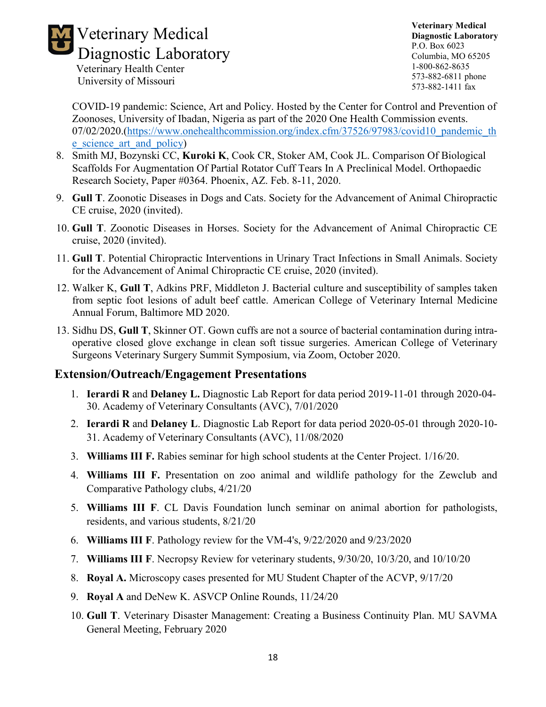

**Veterinary Medical Diagnostic Laboratory** P.O. Box 6023 Columbia, MO 65205 1-800-862-8635 573-882-6811 phone 573-882-1411 fax

COVID-19 pandemic: Science, Art and Policy. Hosted by the Center for Control and Prevention of Zoonoses, University of Ibadan, Nigeria as part of the 2020 One Health Commission events. 07/02/2020.[\(https://www.onehealthcommission.org/index.cfm/37526/97983/covid10\\_pandemic\\_th](https://www.onehealthcommission.org/index.cfm/37526/97983/covid10_pandemic_the_science_art_and_policy) [e\\_science\\_art\\_and\\_policy\)](https://www.onehealthcommission.org/index.cfm/37526/97983/covid10_pandemic_the_science_art_and_policy)

- 8. Smith MJ, Bozynski CC, **Kuroki K**, Cook CR, Stoker AM, Cook JL. Comparison Of Biological Scaffolds For Augmentation Of Partial Rotator Cuff Tears In A Preclinical Model. Orthopaedic Research Society, Paper #0364. Phoenix, AZ. Feb. 8-11, 2020.
- 9. **Gull T**. Zoonotic Diseases in Dogs and Cats. Society for the Advancement of Animal Chiropractic CE cruise, 2020 (invited).
- 10. **Gull T**. Zoonotic Diseases in Horses. Society for the Advancement of Animal Chiropractic CE cruise, 2020 (invited).
- 11. **Gull T**. Potential Chiropractic Interventions in Urinary Tract Infections in Small Animals. Society for the Advancement of Animal Chiropractic CE cruise, 2020 (invited).
- 12. Walker K, **Gull T**, Adkins PRF, Middleton J. Bacterial culture and susceptibility of samples taken from septic foot lesions of adult beef cattle. American College of Veterinary Internal Medicine Annual Forum, Baltimore MD 2020.
- 13. Sidhu DS, **Gull T**, Skinner OT. Gown cuffs are not a source of bacterial contamination during intraoperative closed glove exchange in clean soft tissue surgeries. American College of Veterinary Surgeons Veterinary Surgery Summit Symposium, via Zoom, October 2020.

#### **Extension/Outreach/Engagement Presentations**

- 1. **Ierardi R** and **Delaney L.** Diagnostic Lab Report for data period 2019-11-01 through 2020-04- 30. Academy of Veterinary Consultants (AVC), 7/01/2020
- 2. **Ierardi R** and **Delaney L**. Diagnostic Lab Report for data period 2020-05-01 through 2020-10- 31. Academy of Veterinary Consultants (AVC), 11/08/2020
- 3. **Williams III F.** Rabies seminar for high school students at the Center Project. 1/16/20.
- 4. **Williams III F.** Presentation on zoo animal and wildlife pathology for the Zewclub and Comparative Pathology clubs, 4/21/20
- 5. **Williams III F**. CL Davis Foundation lunch seminar on animal abortion for pathologists, residents, and various students, 8/21/20
- 6. **Williams III F**. Pathology review for the VM-4's, 9/22/2020 and 9/23/2020
- 7. **Williams III F**. Necropsy Review for veterinary students, 9/30/20, 10/3/20, and 10/10/20
- 8. **Royal A.** Microscopy cases presented for MU Student Chapter of the ACVP, 9/17/20
- 9. **Royal A** and DeNew K. ASVCP Online Rounds, 11/24/20
- 10. **Gull T**. Veterinary Disaster Management: Creating a Business Continuity Plan. MU SAVMA General Meeting, February 2020